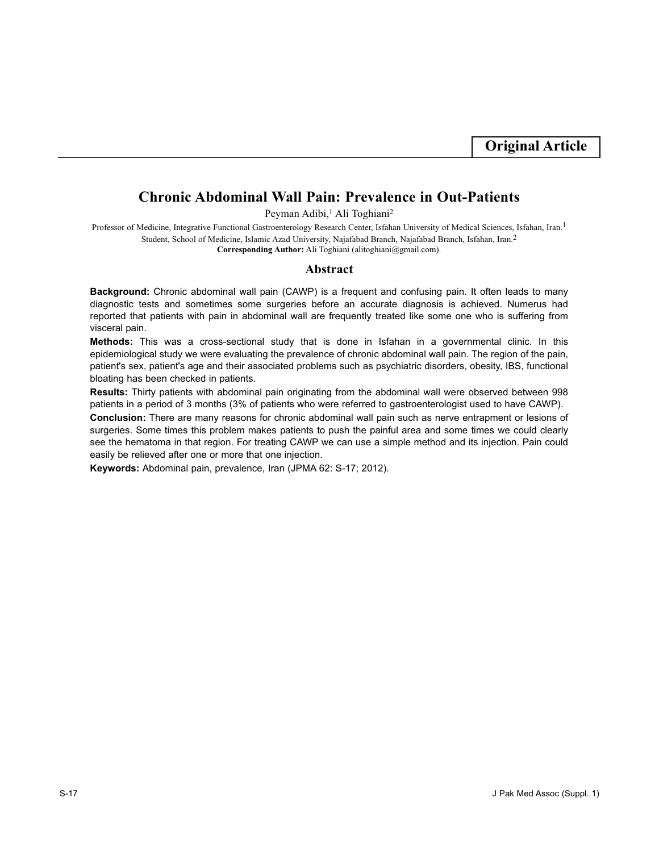# **Chronic Abdominal Wall Pain: Prevalence in Out-Patients**

Peyman Adibi,<sup>1</sup> Ali Toghiani<sup>2</sup>

Professor of Medicine, Integrative Functional Gastroenterology Research Center, Isfahan University of Medical Sciences, Isfahan, Iran.<sup>1</sup> Student, School of Medicine, Islamic Azad University, Najafabad Branch, Najafabad Branch, Isfahan, Iran.2 **Corresponding Author:** Ali Toghiani (alitoghiani@gmail.com).

## **Abstract**

**Background:** Chronic abdominal wall pain (CAWP) is a frequent and confusing pain. It often leads to many diagnostic tests and sometimes some surgeries before an accurate diagnosis is achieved. Numerus had reported that patients with pain in abdominal wall are frequently treated like some one who is suffering from visceral pain.

**Methods:** This was a cross-sectional study that is done in Isfahan in a governmental clinic. In this epidemiological study we were evaluating the prevalence of chronic abdominal wall pain. The region of the pain, patient's sex, patient's age and their associated problems such as psychiatric disorders, obesity, IBS, functional bloating has been checked in patients.

**Results:** Thirty patients with abdominal pain originating from the abdominal wall were observed between 998 patients in a period of 3 months (3% of patients who were referred to gastroenterologist used to have CAWP).

**Conclusion:** There are many reasons for chronic abdominal wall pain such as nerve entrapment or lesions of surgeries. Some times this problem makes patients to push the painful area and some times we could clearly see the hematoma in that region. For treating CAWP we can use a simple method and its injection. Pain could easily be relieved after one or more that one injection.

**Keywords:** Abdominal pain, prevalence, Iran (JPMA 62: S-17; 2012).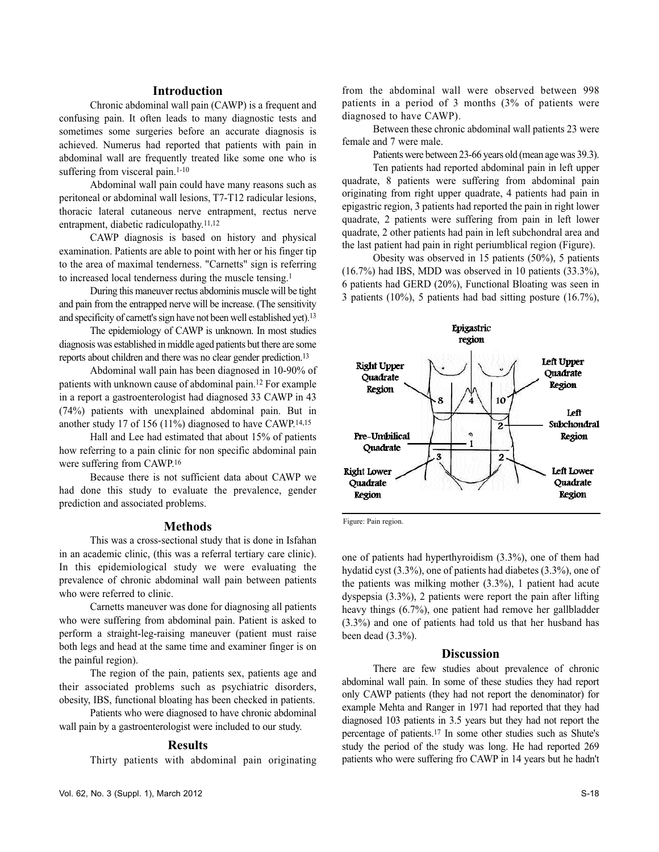#### **Introduction**

Chronic abdominal wall pain (CAWP) is a frequent and confusing pain. It often leads to many diagnostic tests and sometimes some surgeries before an accurate diagnosis is achieved. Numerus had reported that patients with pain in abdominal wall are frequently treated like some one who is suffering from visceral pain.<sup>1-10</sup>

Abdominal wall pain could have many reasons such as peritoneal or abdominal wall lesions, T7-T12 radicular lesions, thoracic lateral cutaneous nerve entrapment, rectus nerve entrapment, diabetic radiculopathy.11,12

CAWP diagnosis is based on history and physical examination. Patients are able to point with her or his finger tip to the area of maximal tenderness. "Carnetts" sign is referring to increased local tenderness during the muscle tensing.<sup>1</sup>

During this maneuver rectus abdominis muscle will be tight and pain from the entrapped nerve will be increase. (The sensitivity and specificity of carnett's sign have not been well established yet).<sup>13</sup>

The epidemiology of CAWP is unknown. In most studies diagnosis was established in middle aged patients but there are some reports about children and there was no clear gender prediction.<sup>13</sup>

Abdominal wall pain has been diagnosed in 10-90% of patients with unknown cause of abdominal pain.<sup>12</sup> For example in a report a gastroenterologist had diagnosed 33 CAWP in 43 (74%) patients with unexplained abdominal pain. But in another study 17 of 156 (11%) diagnosed to have CAWP.14,15

Hall and Lee had estimated that about 15% of patients how referring to a pain clinic for non specific abdominal pain were suffering from CAWP.<sup>16</sup>

Because there is not sufficient data about CAWP we had done this study to evaluate the prevalence, gender prediction and associated problems.

## **Methods**

This was a cross-sectional study that is done in Isfahan in an academic clinic, (this was a referral tertiary care clinic). In this epidemiological study we were evaluating the prevalence of chronic abdominal wall pain between patients who were referred to clinic.

Carnetts maneuver was done for diagnosing all patients who were suffering from abdominal pain. Patient is asked to perform a straight-leg-raising maneuver (patient must raise both legs and head at the same time and examiner finger is on the painful region).

The region of the pain, patients sex, patients age and their associated problems such as psychiatric disorders, obesity, IBS, functional bloating has been checked in patients.

Patients who were diagnosed to have chronic abdominal wall pain by a gastroenterologist were included to our study.

### **Results**

Thirty patients with abdominal pain originating

from the abdominal wall were observed between 998 patients in a period of 3 months (3% of patients were diagnosed to have CAWP).

Between these chronic abdominal wall patients 23 were female and 7 were male.

Patients were between 23-66 years old (mean age was 39.3).

Ten patients had reported abdominal pain in left upper quadrate, 8 patients were suffering from abdominal pain originating from right upper quadrate, 4 patients had pain in epigastric region, 3 patients had reported the pain in right lower quadrate, 2 patients were suffering from pain in left lower quadrate, 2 other patients had pain in left subchondral area and the last patient had pain in right periumblical region (Figure).

Obesity was observed in 15 patients (50%), 5 patients (16.7%) had IBS, MDD was observed in 10 patients (33.3%), 6 patients had GERD (20%), Functional Bloating was seen in 3 patients (10%), 5 patients had bad sitting posture (16.7%),



Figure: Pain region.

one of patients had hyperthyroidism (3.3%), one of them had hydatid cyst (3.3%), one of patients had diabetes (3.3%), one of the patients was milking mother (3.3%), 1 patient had acute dyspepsia (3.3%), 2 patients were report the pain after lifting heavy things (6.7%), one patient had remove her gallbladder (3.3%) and one of patients had told us that her husband has been dead (3.3%).

#### **Discussion**

There are few studies about prevalence of chronic abdominal wall pain. In some of these studies they had report only CAWP patients (they had not report the denominator) for example Mehta and Ranger in 1971 had reported that they had diagnosed 103 patients in 3.5 years but they had not report the percentage of patients.<sup>17</sup> In some other studies such as Shute's study the period of the study was long. He had reported 269 patients who were suffering fro CAWP in 14 years but he hadn't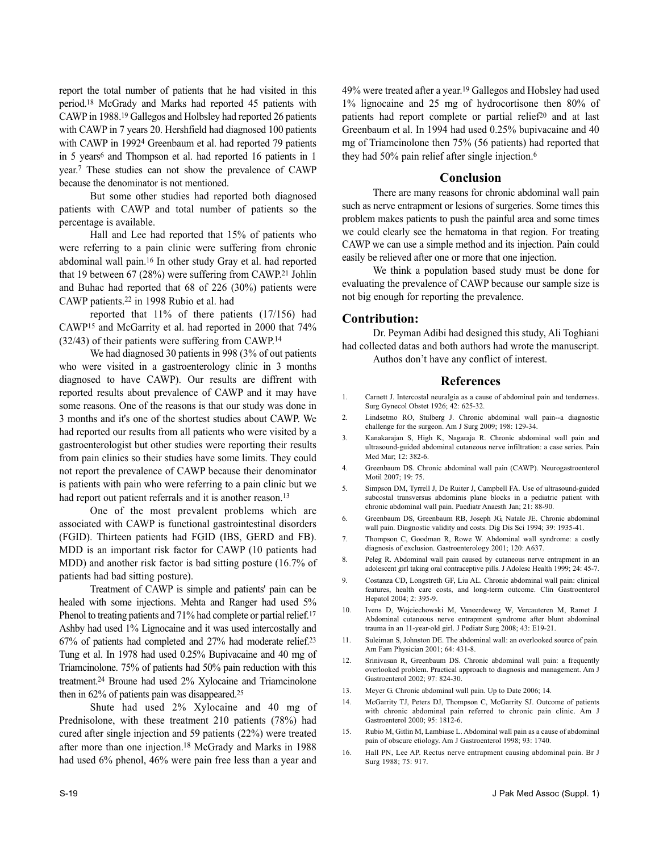report the total number of patients that he had visited in this period.<sup>18</sup> McGrady and Marks had reported 45 patients with CAWP in 1988.<sup>19</sup> Gallegos and Holbsley had reported 26 patients with CAWP in 7 years 20. Hershfield had diagnosed 100 patients with CAWP in 1992<sup>4</sup> Greenbaum et al. had reported 79 patients in 5 years<sup>6</sup> and Thompson et al. had reported 16 patients in 1 year.<sup>7</sup> These studies can not show the prevalence of CAWP because the denominator is not mentioned.

But some other studies had reported both diagnosed patients with CAWP and total number of patients so the percentage is available.

Hall and Lee had reported that 15% of patients who were referring to a pain clinic were suffering from chronic abdominal wall pain.<sup>16</sup> In other study Gray et al. had reported that 19 between 67 (28%) were suffering from CAWP.<sup>21</sup> Johlin and Buhac had reported that 68 of 226 (30%) patients were CAWP patients.<sup>22</sup> in 1998 Rubio et al. had

reported that 11% of there patients (17/156) had CAWP<sup>15</sup> and McGarrity et al. had reported in 2000 that 74% (32/43) of their patients were suffering from CAWP.<sup>14</sup>

We had diagnosed 30 patients in 998 (3% of out patients who were visited in a gastroenterology clinic in 3 months diagnosed to have CAWP). Our results are diffrent with reported results about prevalence of CAWP and it may have some reasons. One of the reasons is that our study was done in 3 months and it's one of the shortest studies about CAWP. We had reported our results from all patients who were visited by a gastroenterologist but other studies were reporting their results from pain clinics so their studies have some limits. They could not report the prevalence of CAWP because their denominator is patients with pain who were referring to a pain clinic but we had report out patient referrals and it is another reason.<sup>13</sup>

One of the most prevalent problems which are associated with CAWP is functional gastrointestinal disorders (FGID). Thirteen patients had FGID (IBS, GERD and FB). MDD is an important risk factor for CAWP (10 patients had MDD) and another risk factor is bad sitting posture (16.7% of patients had bad sitting posture).

Treatment of CAWP is simple and patients' pain can be healed with some injections. Mehta and Ranger had used 5% Phenol to treating patients and 71% had complete or partial relief.<sup>17</sup> Ashby had used 1% Lignocaine and it was used intercostally and 67% of patients had completed and 27% had moderate relief.<sup>23</sup> Tung et al. In 1978 had used 0.25% Bupivacaine and 40 mg of Triamcinolone. 75% of patients had 50% pain reduction with this treatment.<sup>24</sup> Broune had used 2% Xylocaine and Triamcinolone then in 62% of patients pain was disappeared.<sup>25</sup>

Shute had used 2% Xylocaine and 40 mg of Prednisolone, with these treatment 210 patients (78%) had cured after single injection and 59 patients (22%) were treated after more than one injection.<sup>18</sup> McGrady and Marks in 1988 had used 6% phenol, 46% were pain free less than a year and

49% were treated after a year.<sup>19</sup> Gallegos and Hobsley had used 1% lignocaine and 25 mg of hydrocortisone then 80% of patients had report complete or partial relief<sup>20</sup> and at last Greenbaum et al. In 1994 had used 0.25% bupivacaine and 40 mg of Triamcinolone then 75% (56 patients) had reported that they had 50% pain relief after single injection.<sup>6</sup>

### **Conclusion**

There are many reasons for chronic abdominal wall pain such as nerve entrapment or lesions of surgeries. Some times this problem makes patients to push the painful area and some times we could clearly see the hematoma in that region. For treating CAWP we can use a simple method and its injection. Pain could easily be relieved after one or more that one injection.

We think a population based study must be done for evaluating the prevalence of CAWP because our sample size is not big enough for reporting the prevalence.

#### **Contribution:**

Dr. Peyman Adibi had designed this study, Ali Toghiani had collected datas and both authors had wrote the manuscript. Authos don't have any conflict of interest.

#### **References**

- 1. Carnett J. Intercostal neuralgia as a cause of abdominal pain and tenderness. Surg Gynecol Obstet 1926; 42: 625-32.
- 2. Lindsetmo RO, Stulberg J. Chronic abdominal wall pain--a diagnostic challenge for the surgeon. Am J Surg 2009; 198: 129-34.
- 3. Kanakarajan S, High K, Nagaraja R. Chronic abdominal wall pain and ultrasound-guided abdominal cutaneous nerve infiltration: a case series. Pain Med Mar; 12: 382-6.
- 4. Greenbaum DS. Chronic abdominal wall pain (CAWP). Neurogastroenterol Motil 2007; 19: 75.
- 5. Simpson DM, Tyrrell J, De Ruiter J, Campbell FA. Use of ultrasound-guided subcostal transversus abdominis plane blocks in a pediatric patient with chronic abdominal wall pain. Paediatr Anaesth Jan; 21: 88-90.
- 6. Greenbaum DS, Greenbaum RB, Joseph JG, Natale JE. Chronic abdominal wall pain. Diagnostic validity and costs. Dig Dis Sci 1994; 39: 1935-41.
- 7. Thompson C, Goodman R, Rowe W. Abdominal wall syndrome: a costly diagnosis of exclusion. Gastroenterology 2001; 120: A637.
- 8. Peleg R. Abdominal wall pain caused by cutaneous nerve entrapment in an adolescent girl taking oral contraceptive pills. J Adolesc Health 1999; 24: 45-7.
- 9. Costanza CD, Longstreth GF, Liu AL. Chronic abdominal wall pain: clinical features, health care costs, and long-term outcome. Clin Gastroenterol Hepatol 2004; 2: 395-9.
- 10. Ivens D, Wojciechowski M, Vaneerdeweg W, Vercauteren M, Ramet J. Abdominal cutaneous nerve entrapment syndrome after blunt abdominal trauma in an 11-year-old girl. J Pediatr Surg 2008; 43: E19-21.
- 11. Suleiman S, Johnston DE. The abdominal wall: an overlooked source of pain. Am Fam Physician 2001; 64: 431-8.
- 12. Srinivasan R, Greenbaum DS. Chronic abdominal wall pain: a frequently overlooked problem. Practical approach to diagnosis and management. Am J Gastroenterol 2002; 97: 824-30.
- 13. Meyer G. Chronic abdominal wall pain. Up to Date 2006; 14.
- 14. McGarrity TJ, Peters DJ, Thompson C, McGarrity SJ. Outcome of patients with chronic abdominal pain referred to chronic pain clinic. Am J Gastroenterol 2000; 95: 1812-6.
- 15. Rubio M, Gitlin M, Lambiase L. Abdominal wall pain as a cause of abdominal pain of obscure etiology. Am J Gastroenterol 1998; 93: 1740.
- 16. Hall PN, Lee AP. Rectus nerve entrapment causing abdominal pain. Br J Surg 1988; 75: 917.